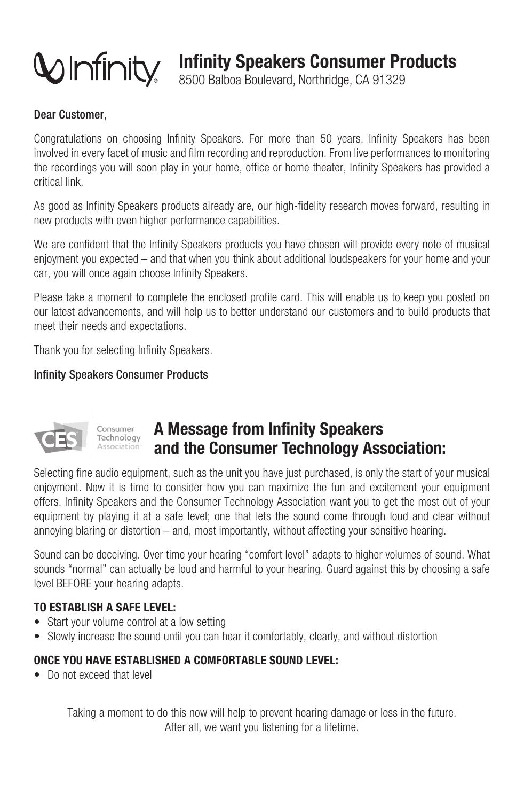

**Infinity Speakers Consumer Products** 

8500 Balboa Boulevard, Northridge, CA 91329

#### Dear Customer,

Congratulations on choosing Infinity Speakers. For more than 50 years, Infinity Speakers has been involved in every facet of music and film recording and reproduction. From live performances to monitoring the recordings you will soon play in your home, office or home theater. Infinity Speakers has provided a critical link

As good as Infinity Speakers products already are, our high-fidelity research moves forward, resulting in new products with even higher performance capabilities.

We are confident that the Infinity Speakers products you have chosen will provide every note of musical eniovment you expected – and that when you think about additional loudspeakers for your home and your car, you will once again choose Infinity Speakers.

Please take a moment to complete the enclosed profile card. This will enable us to keep you posted on our latest advancements, and will help us to better understand our customers and to build products that meet their needs and expectations.

Thank you for selecting Infinity Speakers.

#### **Infinity Speakers Consumer Products**



# A Message from Infinity Speakers and the Consumer Technology Association:

Selecting fine audio equipment, such as the unit you have just purchased, is only the start of your musical enioyment. Now it is time to consider how you can maximize the fun and excitement your equipment offers. Infinity Speakers and the Consumer Technology Association want you to get the most out of your equipment by playing it at a safe level; one that lets the sound come through loud and clear without annoying blaring or distortion  $-$  and, most importantly, without affecting your sensitive hearing.

Sound can be deceiving. Over time your hearing "comfort level" adapts to higher volumes of sound. What sounds "normal" can actually be loud and harmful to your hearing. Guard against this by choosing a safe level BEFORE your hearing adapts.

#### TO ESTABLISH A SAFE LEVEL:

- Start your volume control at a low setting
- Slowly increase the sound until you can hear it comfortably, clearly, and without distortion

## ONCE YOU HAVE ESTABLISHED A COMFORTABLE SOUND LEVEL:

• Do not exceed that level

Taking a moment to do this now will help to prevent hearing damage or loss in the future. After all, we want you listening for a lifetime.